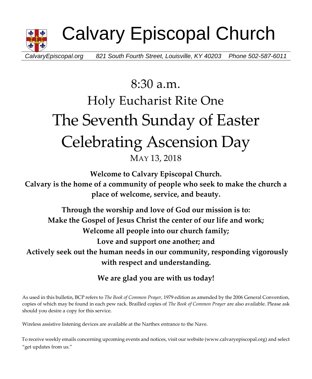

Calvary Episcopal Church

*CalvaryEpiscopal.org 821 South Fourth Street, Louisville, KY 40203 Phone 502-587-6011*

# 8:30 a.m. Holy Eucharist Rite One The Seventh Sunday of Easter Celebrating Ascension Day MAY 13, 2018

**Welcome to Calvary Episcopal Church.**

**Calvary is the home of a community of people who seek to make the church a place of welcome, service, and beauty.**

**Through the worship and love of God our mission is to: Make the Gospel of Jesus Christ the center of our life and work; Welcome all people into our church family; Love and support one another; and Actively seek out the human needs in our community, responding vigorously with respect and understanding.**

**We are glad you are with us today!**

As used in this bulletin, BCP refers to *The Book of Common Prayer*, 1979 edition as amended by the 2006 General Convention, copies of which may be found in each pew rack. Brailled copies of *The Book of Common Prayer* are also available. Please ask should you desire a copy for this service.

Wireless assistive listening devices are available at the Narthex entrance to the Nave.

To receive weekly emails concerning upcoming events and notices, visit our website (www.calvaryepiscopal.org) and select "get updates from us."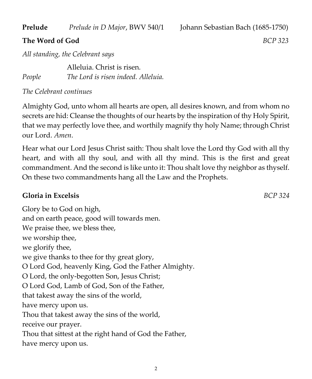**Prelude** *Prelude in D Major*, BWV 540/1 Johann Sebastian Bach (1685-1750)

### **The Word of God** *BCP 323*

*All standing, the Celebrant says*

Alleluia. Christ is risen. *People The Lord is risen indeed. Alleluia.*

*The Celebrant continues*

Almighty God, unto whom all hearts are open, all desires known, and from whom no secrets are hid: Cleanse the thoughts of our hearts by the inspiration of thy Holy Spirit, that we may perfectly love thee, and worthily magnify thy holy Name; through Christ our Lord. *Amen*.

Hear what our Lord Jesus Christ saith: Thou shalt love the Lord thy God with all thy heart, and with all thy soul, and with all thy mind. This is the first and great commandment. And the second is like unto it: Thou shalt love thy neighbor as thyself. On these two commandments hang all the Law and the Prophets.

## **Gloria in Excelsis** *BCP 324*

Glory be to God on high, and on earth peace, good will towards men. We praise thee, we bless thee, we worship thee, we glorify thee, we give thanks to thee for thy great glory, O Lord God, heavenly King, God the Father Almighty. O Lord, the only-begotten Son, Jesus Christ; O Lord God, Lamb of God, Son of the Father, that takest away the sins of the world, have mercy upon us. Thou that takest away the sins of the world, receive our prayer. Thou that sittest at the right hand of God the Father, have mercy upon us.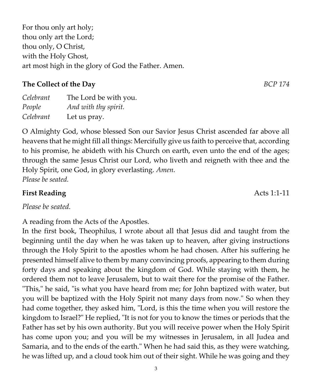For thou only art holy; thou only art the Lord; thou only, O Christ, with the Holy Ghost, art most high in the glory of God the Father. Amen.

# **The Collect of the Day** *BCP 174*

| Celebrant | The Lord be with you. |
|-----------|-----------------------|
| People    | And with thy spirit.  |
| Celebrant | Let us pray.          |

O Almighty God, whose blessed Son our Savior Jesus Christ ascended far above all heavens that he might fill all things: Mercifully give us faith to perceive that, according to his promise, he abideth with his Church on earth, even unto the end of the ages; through the same Jesus Christ our Lord, who liveth and reigneth with thee and the Holy Spirit, one God, in glory everlasting. *Amen*. *Please be seated.*

# **First Reading Acts 1:1-11**

*Please be seated.*

A reading from the Acts of the Apostles.

In the first book, Theophilus, I wrote about all that Jesus did and taught from the beginning until the day when he was taken up to heaven, after giving instructions through the Holy Spirit to the apostles whom he had chosen. After his suffering he presented himself alive to them by many convincing proofs, appearing to them during forty days and speaking about the kingdom of God. While staying with them, he ordered them not to leave Jerusalem, but to wait there for the promise of the Father. "This," he said, "is what you have heard from me; for John baptized with water, but you will be baptized with the Holy Spirit not many days from now." So when they had come together, they asked him, "Lord, is this the time when you will restore the kingdom to Israel?" He replied, "It is not for you to know the times or periods that the Father has set by his own authority. But you will receive power when the Holy Spirit has come upon you; and you will be my witnesses in Jerusalem, in all Judea and Samaria, and to the ends of the earth." When he had said this, as they were watching, he was lifted up, and a cloud took him out of their sight. While he was going and they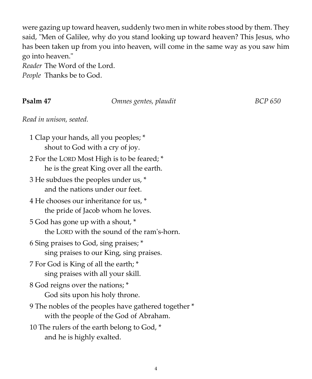were gazing up toward heaven, suddenly two men in white robes stood by them. They said, "Men of Galilee, why do you stand looking up toward heaven? This Jesus, who has been taken up from you into heaven, will come in the same way as you saw him go into heaven."

*Reader* The Word of the Lord. *People* Thanks be to God.

#### **Psalm 47** *Dmnes gentes, plaudit* **<b>BCP** *BCP BCP BCP BCP BCP BCP BCP BCP BCP BCP BCP BCP BCP BCP BCP BCP BCP BCP BCP BCP BCP BCP BC*

*Read in unison, seated.*

1 Clap your hands, all you peoples; \* shout to God with a cry of joy. 2 For the LORD Most High is to be feared; \* he is the great King over all the earth. 3 He subdues the peoples under us, \* and the nations under our feet. 4 He chooses our inheritance for us, \* the pride of Jacob whom he loves. 5 God has gone up with a shout, \* the LORD with the sound of the ram's-horn. 6 Sing praises to God, sing praises; \* sing praises to our King, sing praises. 7 For God is King of all the earth; \* sing praises with all your skill. 8 God reigns over the nations; \* God sits upon his holy throne. 9 The nobles of the peoples have gathered together \* with the people of the God of Abraham. 10 The rulers of the earth belong to God, \* and he is highly exalted.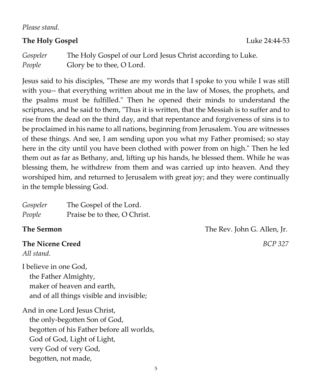*Please stand.*

#### **The Holy Gospel** Luke 24:44-53

*Gospeler* The Holy Gospel of our Lord Jesus Christ according to Luke. *People* Glory be to thee, O Lord.

Jesus said to his disciples, "These are my words that I spoke to you while I was still with you-- that everything written about me in the law of Moses, the prophets, and the psalms must be fulfilled." Then he opened their minds to understand the scriptures, and he said to them, "Thus it is written, that the Messiah is to suffer and to rise from the dead on the third day, and that repentance and forgiveness of sins is to be proclaimed in his name to all nations, beginning from Jerusalem. You are witnesses of these things. And see, I am sending upon you what my Father promised; so stay here in the city until you have been clothed with power from on high." Then he led them out as far as Bethany, and, lifting up his hands, he blessed them. While he was blessing them, he withdrew from them and was carried up into heaven. And they worshiped him, and returned to Jerusalem with great joy; and they were continually in the temple blessing God.

| Gospeler | The Gospel of the Lord.      |
|----------|------------------------------|
| People   | Praise be to thee, O Christ. |

# **The Nicene Creed** *BCP 327*

*All stand.*

I believe in one God, the Father Almighty, maker of heaven and earth, and of all things visible and invisible;

And in one Lord Jesus Christ, the only-begotten Son of God, begotten of his Father before all worlds, God of God, Light of Light, very God of very God, begotten, not made,

**The Sermon** The Rev. John G. Allen, Ir.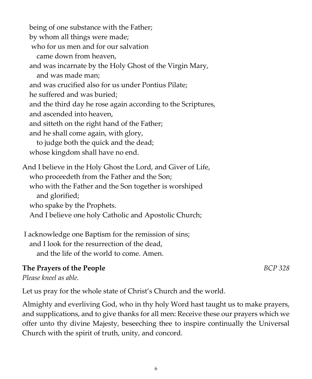being of one substance with the Father; by whom all things were made; who for us men and for our salvation came down from heaven, and was incarnate by the Holy Ghost of the Virgin Mary, and was made man; and was crucified also for us under Pontius Pilate; he suffered and was buried; and the third day he rose again according to the Scriptures, and ascended into heaven, and sitteth on the right hand of the Father; and he shall come again, with glory, to judge both the quick and the dead; whose kingdom shall have no end. And I believe in the Holy Ghost the Lord, and Giver of Life, who proceedeth from the Father and the Son; who with the Father and the Son together is worshiped and glorified; who spake by the Prophets. And I believe one holy Catholic and Apostolic Church;

I acknowledge one Baptism for the remission of sins; and I look for the resurrection of the dead, and the life of the world to come. Amen.

#### **The Prayers of the People** *BCP 328*

*Please kneel as able.*

Let us pray for the whole state of Christ's Church and the world.

Almighty and everliving God, who in thy holy Word hast taught us to make prayers, and supplications, and to give thanks for all men: Receive these our prayers which we offer unto thy divine Majesty, beseeching thee to inspire continually the Universal Church with the spirit of truth, unity, and concord.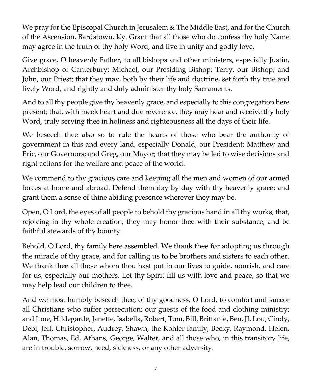We pray for the Episcopal Church in Jerusalem & The Middle East, and for the Church of the Ascension, Bardstown, Ky. Grant that all those who do confess thy holy Name may agree in the truth of thy holy Word, and live in unity and godly love.

Give grace, O heavenly Father, to all bishops and other ministers, especially Justin, Archbishop of Canterbury; Michael, our Presiding Bishop; Terry, our Bishop; and John, our Priest; that they may, both by their life and doctrine, set forth thy true and lively Word, and rightly and duly administer thy holy Sacraments.

And to all thy people give thy heavenly grace, and especially to this congregation here present; that, with meek heart and due reverence, they may hear and receive thy holy Word, truly serving thee in holiness and righteousness all the days of their life.

We beseech thee also so to rule the hearts of those who bear the authority of government in this and every land, especially Donald, our President; Matthew and Eric, our Governors; and Greg, our Mayor; that they may be led to wise decisions and right actions for the welfare and peace of the world.

We commend to thy gracious care and keeping all the men and women of our armed forces at home and abroad. Defend them day by day with thy heavenly grace; and grant them a sense of thine abiding presence wherever they may be.

Open, O Lord, the eyes of all people to behold thy gracious hand in all thy works, that, rejoicing in thy whole creation, they may honor thee with their substance, and be faithful stewards of thy bounty.

Behold, O Lord, thy family here assembled. We thank thee for adopting us through the miracle of thy grace, and for calling us to be brothers and sisters to each other. We thank thee all those whom thou hast put in our lives to guide, nourish, and care for us, especially our mothers. Let thy Spirit fill us with love and peace, so that we may help lead our children to thee.

And we most humbly beseech thee, of thy goodness, O Lord, to comfort and succor all Christians who suffer persecution; our guests of the food and clothing ministry; and June, Hildegarde, Janette, Isabella, Robert, Tom, Bill, Brittanie, Ben, JJ, Lou, Cindy, Debi, Jeff, Christopher, Audrey, Shawn, the Kohler family, Becky, Raymond, Helen, Alan, Thomas, Ed, Athans, George, Walter, and all those who, in this transitory life, are in trouble, sorrow, need, sickness, or any other adversity.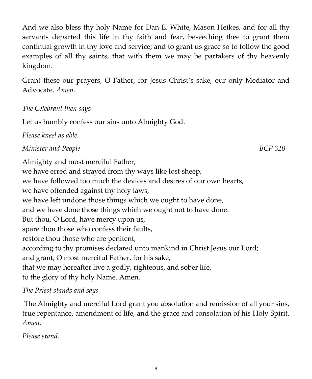And we also bless thy holy Name for Dan E. White, Mason Heikes, and for all thy servants departed this life in thy faith and fear, beseeching thee to grant them continual growth in thy love and service; and to grant us grace so to follow the good examples of all thy saints, that with them we may be partakers of thy heavenly kingdom.

Grant these our prayers, O Father, for Jesus Christ's sake, our only Mediator and Advocate. *Amen.*

### *The Celebrant then says*

Let us humbly confess our sins unto Almighty God.

*Please kneel as able.*

#### *Minister and People* BCP 320

Almighty and most merciful Father, we have erred and strayed from thy ways like lost sheep, we have followed too much the devices and desires of our own hearts, we have offended against thy holy laws, we have left undone those things which we ought to have done, and we have done those things which we ought not to have done. But thou, O Lord, have mercy upon us, spare thou those who confess their faults, restore thou those who are penitent, according to thy promises declared unto mankind in Christ Jesus our Lord; and grant, O most merciful Father, for his sake, that we may hereafter live a godly, righteous, and sober life, to the glory of thy holy Name. Amen.

### *The Priest stands and says*

The Almighty and merciful Lord grant you absolution and remission of all your sins, true repentance, amendment of life, and the grace and consolation of his Holy Spirit. *Amen*.

*Please stand.*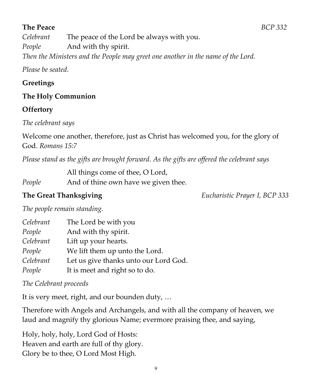# **The Peace** *BCP 332*

*Celebrant* The peace of the Lord be always with you. *People* And with thy spirit. *Then the Ministers and the People may greet one another in the name of the Lord.*

*Please be seated.*

# **Greetings**

# **The Holy Communion**

# **Offertory**

*The celebrant says*

Welcome one another, therefore, just as Christ has welcomed you, for the glory of God. *Romans 15:7*

*Please stand as the gifts are brought forward. As the gifts are offered the celebrant says*

All things come of thee, O Lord,

*People* And of thine own have we given thee.

**The Great Thanksgiving** *Eucharistic Prayer I, BCP 333*

*The people remain standing.*

| Celebrant | The Lord be with you                  |
|-----------|---------------------------------------|
| People    | And with thy spirit.                  |
| Celebrant | Lift up your hearts.                  |
| People    | We lift them up unto the Lord.        |
| Celebrant | Let us give thanks unto our Lord God. |
| People    | It is meet and right so to do.        |

*The Celebrant proceeds*

It is very meet, right, and our bounden duty, …

Therefore with Angels and Archangels, and with all the company of heaven, we laud and magnify thy glorious Name; evermore praising thee, and saying,

Holy, holy, holy, Lord God of Hosts: Heaven and earth are full of thy glory. Glory be to thee, O Lord Most High.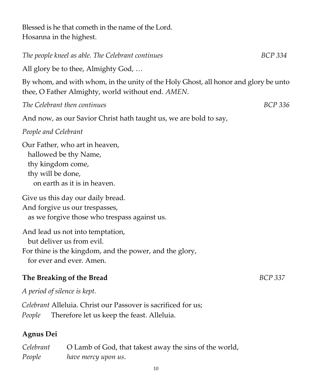Blessed is he that cometh in the name of the Lord. Hosanna in the highest.

# *The people kneel as able. The Celebrant continues* BCP 334

All glory be to thee, Almighty God, …

By whom, and with whom, in the unity of the Holy Ghost, all honor and glory be unto thee, O Father Almighty, world without end. *AMEN*.

*The Celebrant then continues BCP 336*

And now, as our Savior Christ hath taught us, we are bold to say,

#### *People and Celebrant*

Our Father, who art in heaven, hallowed be thy Name, thy kingdom come, thy will be done, on earth as it is in heaven.

Give us this day our daily bread.

And forgive us our trespasses,

as we forgive those who trespass against us.

And lead us not into temptation, but deliver us from evil. For thine is the kingdom, and the power, and the glory, for ever and ever. Amen.

### **The Breaking of the Bread** *BCP 337*

*A period of silence is kept.* 

*Celebrant* Alleluia. Christ our Passover is sacrificed for us; *People* Therefore let us keep the feast. Alleluia.

#### **Agnus Dei**

| Celebrant | O Lamb of God, that takest away the sins of the world, |
|-----------|--------------------------------------------------------|
| People    | have mercy upon us.                                    |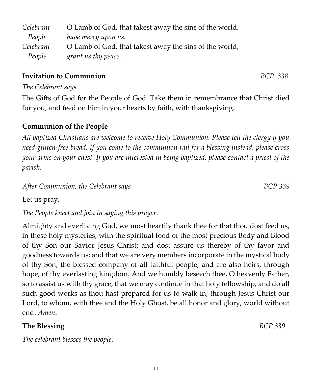| Celebrant | O Lamb of God, that takest away the sins of the world, |
|-----------|--------------------------------------------------------|
| People    | have mercy upon us.                                    |
| Celebrant | O Lamb of God, that takest away the sins of the world, |
| People    | grant us thy peace.                                    |

# **Invitation to Communion** *BCP 338*

# *The Celebrant says*

The Gifts of God for the People of God. Take them in remembrance that Christ died for you, and feed on him in your hearts by faith, with thanksgiving.

# **Communion of the People**

*All baptized Christians are welcome to receive Holy Communion. Please tell the clergy if you need gluten-free bread. If you come to the communion rail for a blessing instead, please cross your arms on your chest. If you are interested in being baptized, please contact a priest of the parish.* 

# *After Communion, the Celebrant says BCP 339*

Let us pray.

*The People kneel and join in saying this prayer.*

Almighty and everliving God, we most heartily thank thee for that thou dost feed us, in these holy mysteries, with the spiritual food of the most precious Body and Blood of thy Son our Savior Jesus Christ; and dost assure us thereby of thy favor and goodness towards us; and that we are very members incorporate in the mystical body of thy Son, the blessed company of all faithful people; and are also heirs, through hope, of thy everlasting kingdom. And we humbly beseech thee, O heavenly Father, so to assist us with thy grace, that we may continue in that holy fellowship, and do all such good works as thou hast prepared for us to walk in; through Jesus Christ our Lord, to whom, with thee and the Holy Ghost, be all honor and glory, world without end. *Amen*.

# **The Blessing** *BCP 339*

*The celebrant blesses the people.*